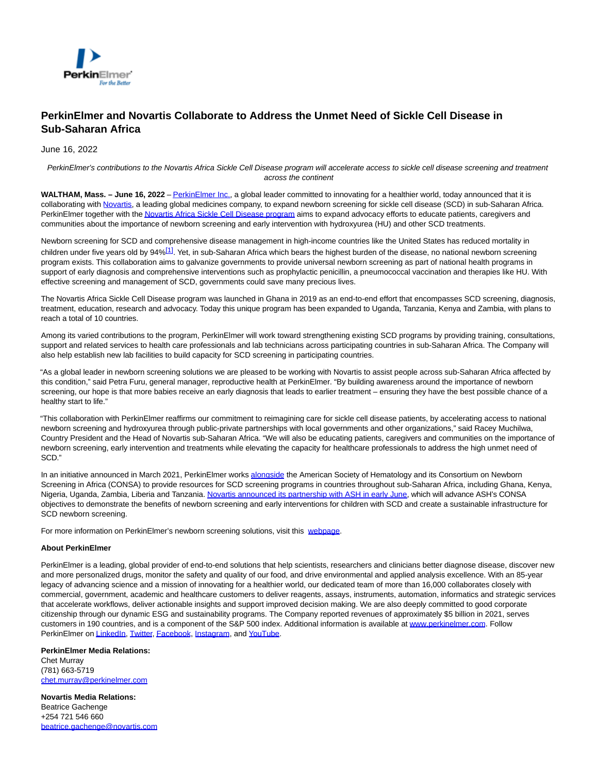

## **PerkinElmer and Novartis Collaborate to Address the Unmet Need of Sickle Cell Disease in Sub-Saharan Africa**

June 16, 2022

PerkinElmer's contributions to the Novartis Africa Sickle Cell Disease program will accelerate access to sickle cell disease screening and treatment across the continent

**WALTHAM, Mass. – June 16, 2022** [– PerkinElmer Inc.,](http://www.perkinelmer.com/) a global leader committed to innovating for a healthier world, today announced that it is collaborating with [Novartis,](https://www.novartis.com/) a leading global medicines company, to expand newborn screening for sickle cell disease (SCD) in sub-Saharan Africa. PerkinElmer together with th[e Novartis Africa Sickle Cell Disease program a](https://www.novartis.com/diseases/sickle-cell-disease)ims to expand advocacy efforts to educate patients, caregivers and communities about the importance of newborn screening and early intervention with hydroxyurea (HU) and other SCD treatments.

Newborn screening for SCD and comprehensive disease management in high-income countries like the United States has reduced mortality in children under five years old by 94%[\[1\]](file:///C:/Windows/Temp/ABCpdf/95cd7970-13c5-4cd0-8150-30bd0d445e55.html#_ftn1). Yet, in sub-Saharan Africa which bears the highest burden of the disease, no national newborn screening program exists. This collaboration aims to galvanize governments to provide universal newborn screening as part of national health programs in support of early diagnosis and comprehensive interventions such as prophylactic penicillin, a pneumococcal vaccination and therapies like HU. With effective screening and management of SCD, governments could save many precious lives.

The Novartis Africa Sickle Cell Disease program was launched in Ghana in 2019 as an end-to-end effort that encompasses SCD screening, diagnosis, treatment, education, research and advocacy. Today this unique program has been expanded to Uganda, Tanzania, Kenya and Zambia, with plans to reach a total of 10 countries.

Among its varied contributions to the program, PerkinElmer will work toward strengthening existing SCD programs by providing training, consultations, support and related services to health care professionals and lab technicians across participating countries in sub-Saharan Africa. The Company will also help establish new lab facilities to build capacity for SCD screening in participating countries.

"As a global leader in newborn screening solutions we are pleased to be working with Novartis to assist people across sub-Saharan Africa affected by this condition," said Petra Furu, general manager, reproductive health at PerkinElmer. "By building awareness around the importance of newborn screening, our hope is that more babies receive an early diagnosis that leads to earlier treatment – ensuring they have the best possible chance of a healthy start to life."

"This collaboration with PerkinElmer reaffirms our commitment to reimagining care for sickle cell disease patients, by accelerating access to national newborn screening and hydroxyurea through public-private partnerships with local governments and other organizations," said Racey Muchilwa, Country President and the Head of Novartis sub-Saharan Africa. "We will also be educating patients, caregivers and communities on the importance of newborn screening, early intervention and treatments while elevating the capacity for healthcare professionals to address the high unmet need of SCD."

In an initiative announced in March 2021, PerkinElmer work[s alongside t](https://www.hematology.org/newsroom/press-releases/2021/consortium-initiates-newborn-screening-program-for-sickle-cell-disease-in-nigeria-and-ghana)he American Society of Hematology and its Consortium on Newborn Screening in Africa (CONSA) to provide resources for SCD screening programs in countries throughout sub-Saharan Africa, including Ghana, Kenya, Nigeria, Uganda, Zambia, Liberia and Tanzania[. Novartis announced its partnership with ASH in early June,](https://www.novartis.com/news/media-releases/novartis-announces-partnership-american-society-hematology-fight-sickle-cell-disease-sub-saharan-africa) which will advance ASH's CONSA objectives to demonstrate the benefits of newborn screening and early interventions for children with SCD and create a sustainable infrastructure for SCD newborn screening.

For more information on PerkinElmer's newborn screening solutions, visit this [webpage.](https://rh.perkinelmer.com/newborn-products/)

## **About PerkinElmer**

PerkinElmer is a leading, global provider of end-to-end solutions that help scientists, researchers and clinicians better diagnose disease, discover new and more personalized drugs, monitor the safety and quality of our food, and drive environmental and applied analysis excellence. With an 85-year legacy of advancing science and a mission of innovating for a healthier world, our dedicated team of more than 16,000 collaborates closely with commercial, government, academic and healthcare customers to deliver reagents, assays, instruments, automation, informatics and strategic services that accelerate workflows, deliver actionable insights and support improved decision making. We are also deeply committed to good corporate citizenship through our dynamic ESG and sustainability programs. The Company reported revenues of approximately \$5 billion in 2021, serves customers in 190 countries, and is a component of the S&P 500 index. Additional information is available at [www.perkinelmer.com.](http://www.perkinelmer.com/) Follow PerkinElmer o[n LinkedIn,](https://www.linkedin.com/company/perkinelmer) [Twitter,](https://twitter.com/PerkinElmer) [Facebook,](https://www.facebook.com/PerkinElmer) [Instagram,](https://www.instagram.com/perkinelmer/) and [YouTube.](https://www.youtube.com/PERKINELMER)

**PerkinElmer Media Relations:** Chet Murray (781) 663-5719 [chet.murray@perkinelmer.com](mailto:chet.murray@perkinelmer.com)

**Novartis Media Relations:** Beatrice Gachenge +254 721 546 660 [beatrice.gachenge@novartis.com](mailto:beatrice.gachenge@novartis.com)